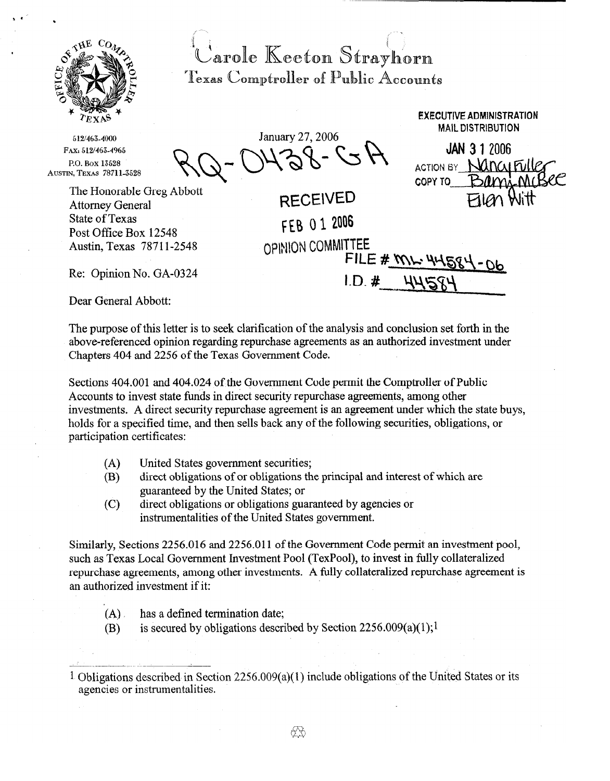

Carole Keeton Strayhorn Texas Comptroller of Public Accounts

**512/463-4000**  FAX: 512/463-4965 **P.Q.Box13528 AUSTIN, TEXAS 78711-3588** 

State of Texas

January 27, 2006  $\bigcap_{n=1}^{\infty}$ 

**EXECUTIVE ADMINISTRATION MAIL DISTRIBUTION** 

**JAN 3 1 2006 ACTION BY NANCLIFUL COPY TO** Attorney General RECEIVED f E0 0 1 2006 OPINION COMMITTEE  $FILE # MN$ 

Re: Opinion No. GA-03 24

The Honorable Greg Abbott

Dear General Abbott:

Post Office Box 12548 Austin, Texas 7871 l-2548

The purpose of this letter is to seek clarification of the analysis and conclusion set forth in the above-referenced opinion regarding repurchase agreements as an authorized investment under Chapters 404 and 2256 of the Texas Government Code.

 $LD.$ #

Sections 404.001 and 404.024 of the Government Code permit the Comptroller of Public Accounts to invest state funds in direct security repurchase agreements, among other investments. A direct security repurchase agreement is an agreement under which the state buys, holds for a specified time, and then sells back any of the following securities, obligations, or participation certificates:

- (A) United States government securities;
- (B) direct obligations of or obligations the principal and interest of which are guaranteed by the United States; or
- (C) direct obligations or obligations guaranteed by agencies or instrumentalities of the United States government.

Similarly, Sections 2256.016 and 2256.011 of the Government Code permit an investment pool, such as Texas Local Government Investment Pool (TexPool), to invest in fully collateralized repurchase agreements, among other investments. A fully collateralized repurchase agreement is an authorized investment if it:

- $(A)$  has a defined termination date;
- (B) is secured by obligations described by Section 2256.009(a)(1);<sup>1</sup>

<sup>1</sup> Obligations described in Section 2256.009(a)( 1) include obligations of the United States or its agencies or instrumentalities.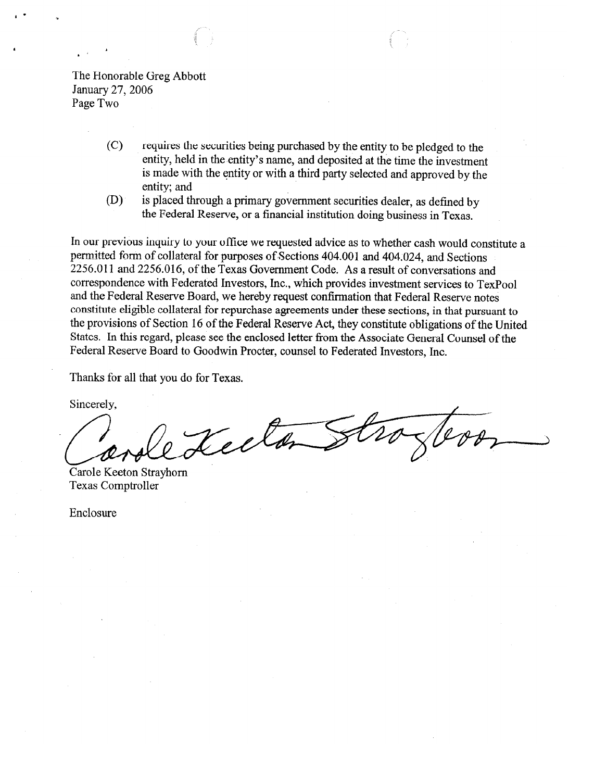The Honorable Greg Abbott January 27,2006 Page Two

- (C) requires the securities being purchased by the entity to be pledged to the entity, held in the entity's name, and deposited at the time the investment is made with the entity or with a third party selected and approved by the entity; and
- (D) is placed through a primary government securities dealer, as defined by the Federal Reserve, or a financial institution doing business in Texas.

In our previous inquiry to your office we requested advice as to whether cash would constitute a permitted form of collateral for purposes of Sections 404.001 and 404.024, and Sections 2256.011 and 2256.016, of the Texas Government Code. As a result of conversations and correspondence with Federated Investors, Inc., which provides investment services to TexPool and the Federal Reserve Board, we hereby request confirmation that Federal Reserve notes constitute eligible collateral for repurchase agreements under these sections, in that pursuant to the provisions of Section 16 of the Federal Reserve Act, they constitute obligations of the United States. In this regard, please see the enclosed letter from the Associate General Counsel of the Federal Reserve Board to Goodwin Procter, counsel to Federated Investors, Inc.

Thanks for all that you do for Texas.

Sincerely,

Teel

Carole Keeton Strayhorn Texas Comptroller

Enclosure